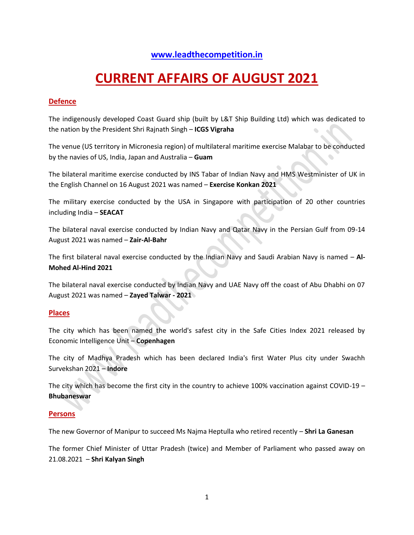# **[www.leadthecompetition.in](http://www.leadthecompetition.in/)**

# **CURRENT AFFAIRS OF AUGUST 2021**

## **Defence**

The indigenously developed Coast Guard ship (built by L&T Ship Building Ltd) which was dedicated to the nation by the President Shri Rajnath Singh – **ICGS Vigraha**

The venue (US territory in Micronesia region) of multilateral maritime exercise Malabar to be conducted by the navies of US, India, Japan and Australia – **Guam**

The bilateral maritime exercise conducted by INS Tabar of Indian Navy and HMS Westminister of UK in the English Channel on 16 August 2021 was named – **Exercise Konkan 2021**

The military exercise conducted by the USA in Singapore with participation of 20 other countries including India – **SEACAT**

The bilateral naval exercise conducted by Indian Navy and Qatar Navy in the Persian Gulf from 09-14 August 2021 was named – **Zair-Al-Bahr**

The first bilateral naval exercise conducted by the Indian Navy and Saudi Arabian Navy is named – **Al-Mohed Al-Hind 2021** 

The bilateral naval exercise conducted by Indian Navy and UAE Navy off the coast of Abu Dhabhi on 07 August 2021 was named – **Zayed Talwar - 2021**

#### **Places**

The city which has been named the world's safest city in the Safe Cities Index 2021 released by Economic Intelligence Unit – **Copenhagen**

The city of Madhya Pradesh which has been declared India's first Water Plus city under Swachh Survekshan 2021 – **Indore**

The city which has become the first city in the country to achieve 100% vaccination against COVID-19 – **Bhubaneswar**

#### **Persons**

The new Governor of Manipur to succeed Ms Najma Heptulla who retired recently – **Shri La Ganesan**

The former Chief Minister of Uttar Pradesh (twice) and Member of Parliament who passed away on 21.08.2021 – **Shri Kalyan Singh**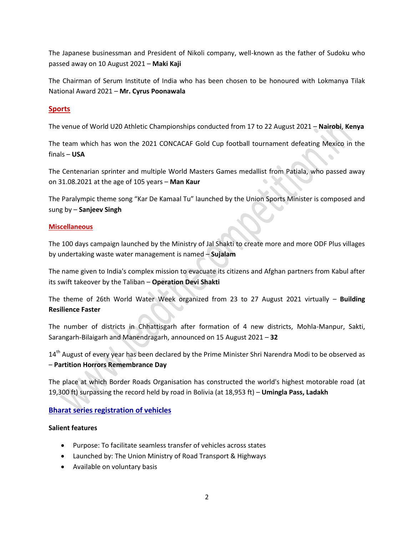The Japanese businessman and President of Nikoli company, well-known as the father of Sudoku who passed away on 10 August 2021 – **Maki Kaji**

The Chairman of Serum Institute of India who has been chosen to be honoured with Lokmanya Tilak National Award 2021 – **Mr. Cyrus Poonawala**

#### **Sports**

The venue of World U20 Athletic Championships conducted from 17 to 22 August 2021 – **Nairobi**, **Kenya**

The team which has won the 2021 CONCACAF Gold Cup football tournament defeating Mexico in the finals – **USA**

The Centenarian sprinter and multiple World Masters Games medallist from Patiala, who passed away on 31.08.2021 at the age of 105 years – **Man Kaur**

The Paralympic theme song "Kar De Kamaal Tu" launched by the Union Sports Minister is composed and sung by – **Sanjeev Singh**

#### **Miscellaneous**

The 100 days campaign launched by the Ministry of Jal Shakti to create more and more ODF Plus villages by undertaking waste water management is named – **Sujalam**

The name given to India's complex mission to evacuate its citizens and Afghan partners from Kabul after its swift takeover by the Taliban – **Operation Devi Shakti**

The theme of 26th World Water Week organized from 23 to 27 August 2021 virtually – **Building Resilience Faster**

The number of districts in Chhattisgarh after formation of 4 new districts, Mohla-Manpur, Sakti, Sarangarh-Bilaigarh and Manendragarh, announced on 15 August 2021 – **32**

14<sup>th</sup> August of every year has been declared by the Prime Minister Shri Narendra Modi to be observed as – **Partition Horrors Remembrance Day**

The place at which Border Roads Organisation has constructed the world's highest motorable road (at 19,300 ft) surpassing the record held by road in Bolivia (at 18,953 ft) – **Umingla Pass, Ladakh**

## **Bharat series registration of vehicles**

#### **Salient features**

- Purpose: To facilitate seamless transfer of vehicles across states
- Launched by: The Union Ministry of Road Transport & Highways
- Available on voluntary basis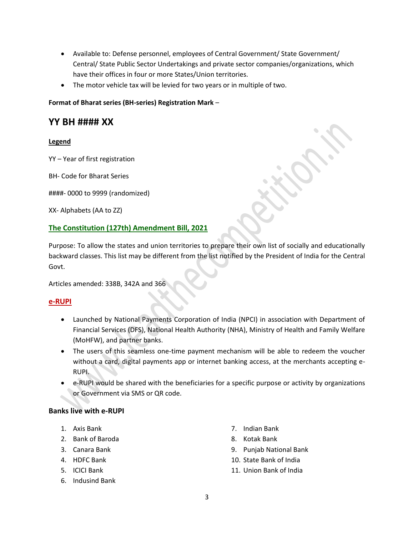- Available to: Defense personnel, employees of Central Government/ State Government/ Central/ State Public Sector Undertakings and private sector companies/organizations, which have their offices in four or more States/Union territories.
- The motor vehicle tax will be levied for two years or in multiple of two.

#### **Format of Bharat series (BH-series) Registration Mark** –

# **YY BH #### XX**

#### **Legend**

YY – Year of first registration

BH- Code for Bharat Series

####- 0000 to 9999 (randomized)

XX- Alphabets (AA to ZZ)

## **The Constitution (127th) Amendment Bill, 2021**

Purpose: To allow the states and union territories to prepare their own list of socially and educationally backward classes. This list may be different from the list notified by the President of India for the Central Govt.

Articles amended: 338B, 342A and 366

## **e-RUPI**

- Launched by National Payments Corporation of India (NPCI) in association with Department of Financial Services (DFS), National Health Authority (NHA), Ministry of Health and Family Welfare (MoHFW), and partner banks.
- The users of this seamless one-time payment mechanism will be able to redeem the voucher without a card, digital payments app or internet banking access, at the merchants accepting e-RUPI.
- e-RUPI would be shared with the beneficiaries for a specific purpose or activity by organizations or Government via SMS or QR code.

## **Banks live with e-RUPI**

- 1. Axis Bank
- 2. Bank of Baroda
- 3. Canara Bank
- 4. HDFC Bank
- 5. ICICI Bank
- 6. Indusind Bank
- 7. Indian Bank
- 8. Kotak Bank
- 9. Punjab National Bank
- 10. State Bank of India
- 11. Union Bank of India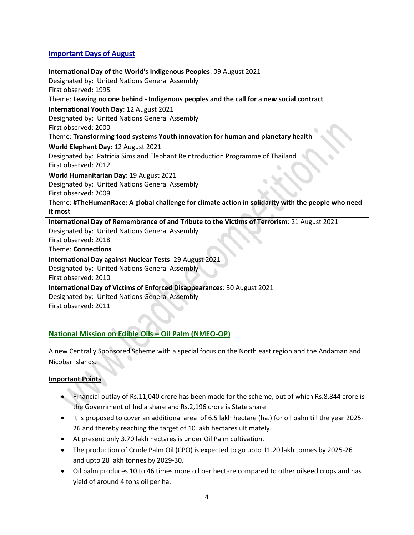# **Important Days of August**

| International Day of the World's Indigenous Peoples: 09 August 2021                                |
|----------------------------------------------------------------------------------------------------|
| Designated by: United Nations General Assembly                                                     |
| First observed: 1995                                                                               |
| Theme: Leaving no one behind - Indigenous peoples and the call for a new social contract           |
| International Youth Day: 12 August 2021                                                            |
| Designated by: United Nations General Assembly                                                     |
| First observed: 2000                                                                               |
| Theme: Transforming food systems Youth innovation for human and planetary health                   |
| World Elephant Day: 12 August 2021                                                                 |
| Designated by: Patricia Sims and Elephant Reintroduction Programme of Thailand                     |
| First observed: 2012                                                                               |
| World Humanitarian Day: 19 August 2021                                                             |
| Designated by: United Nations General Assembly                                                     |
| First observed: 2009                                                                               |
| Theme: #TheHumanRace: A global challenge for climate action in solidarity with the people who need |
| it most                                                                                            |
| International Day of Remembrance of and Tribute to the Victims of Terrorism: 21 August 2021        |
| Designated by: United Nations General Assembly                                                     |
| First observed: 2018                                                                               |
| <b>Theme: Connections</b>                                                                          |
| <b>International Day against Nuclear Tests: 29 August 2021</b>                                     |
| Designated by: United Nations General Assembly                                                     |
| First observed: 2010                                                                               |
| International Day of Victims of Enforced Disappearances: 30 August 2021                            |
| Designated by: United Nations General Assembly                                                     |
| First observed: 2011                                                                               |
|                                                                                                    |

# **National Mission on Edible Oils – Oil Palm (NMEO-OP)**

A new Centrally Sponsored Scheme with a special focus on the North east region and the Andaman and Nicobar Islands.

# **Important Points**

- Financial outlay of Rs.11,040 crore has been made for the scheme, out of which Rs.8,844 crore is the Government of India share and Rs.2,196 crore is State share
- It is proposed to cover an additional area of 6.5 lakh hectare (ha.) for oil palm till the year 2025- 26 and thereby reaching the target of 10 lakh hectares ultimately.
- At present only 3.70 lakh hectares is under Oil Palm cultivation.
- The production of Crude Palm Oil (CPO) is expected to go upto 11.20 lakh tonnes by 2025-26 and upto 28 lakh tonnes by 2029-30.
- Oil palm produces 10 to 46 times more oil per hectare compared to other oilseed crops and has yield of around 4 tons oil per ha.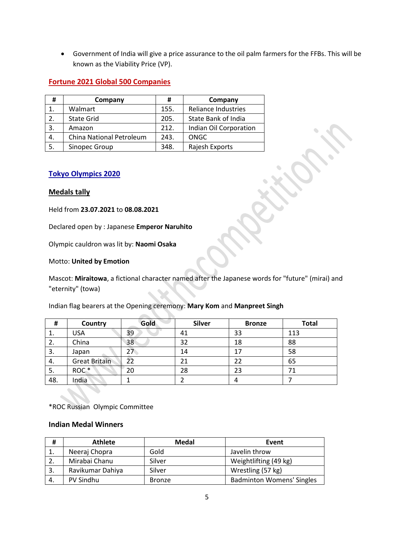Government of India will give a price assurance to the oil palm farmers for the FFBs. This will be known as the Viability Price (VP).

# **Fortune 2021 Global 500 Companies**

| #   | Company                  | #    | Company                |
|-----|--------------------------|------|------------------------|
| 1.  | Walmart                  | 155. | Reliance Industries    |
| 2.  | <b>State Grid</b>        | 205. | State Bank of India    |
| 3.  | Amazon                   | 212. | Indian Oil Corporation |
| 4.  | China National Petroleum | 243. | ONGC                   |
| -5. | Sinopec Group            | 348. | Rajesh Exports         |

# **Tokyo Olympics 2020**

#### **Medals tally**

Held from **23.07.2021** to **08.08.2021**

Declared open by : Japanese **Emperor Naruhito**

Olympic cauldron was lit by: **Naomi Osaka**

#### Motto: **United by Emotion**

Mascot: **Miraitowa**, a fictional character named after the Japanese words for "future" (mirai) and "eternity" (towa)

| #   | Country              | Gold | Silver | <b>Bronze</b> | <b>Total</b> |
|-----|----------------------|------|--------|---------------|--------------|
| -1. | <b>USA</b>           | 39   | 41     | 33            | 113          |
| 2.  | China                | 38   | 32     | 18            | 88           |
| 3.  | Japan                |      | 14     | 17            | 58           |
| 4.  | <b>Great Britain</b> | 22   | 21     | 22            | 65           |
| 5.  | ROC <sup>*</sup>     | 20   | 28     | 23            | 71           |
| 48. | India                |      |        |               |              |

Indian flag bearers at the Opening ceremony: **Mary Kom** and **Manpreet Singh**

\*ROC Russian Olympic Committee

#### **Indian Medal Winners**

| #  | <b>Athlete</b>   | <b>Medal</b>  | Event                            |
|----|------------------|---------------|----------------------------------|
|    | Neeraj Chopra    | Gold          | Javelin throw                    |
|    | Mirabai Chanu    | Silver        | Weightlifting (49 kg)            |
| 3. | Ravikumar Dahiya | Silver        | Wrestling (57 kg)                |
| 4. | PV Sindhu        | <b>Bronze</b> | <b>Badminton Womens' Singles</b> |